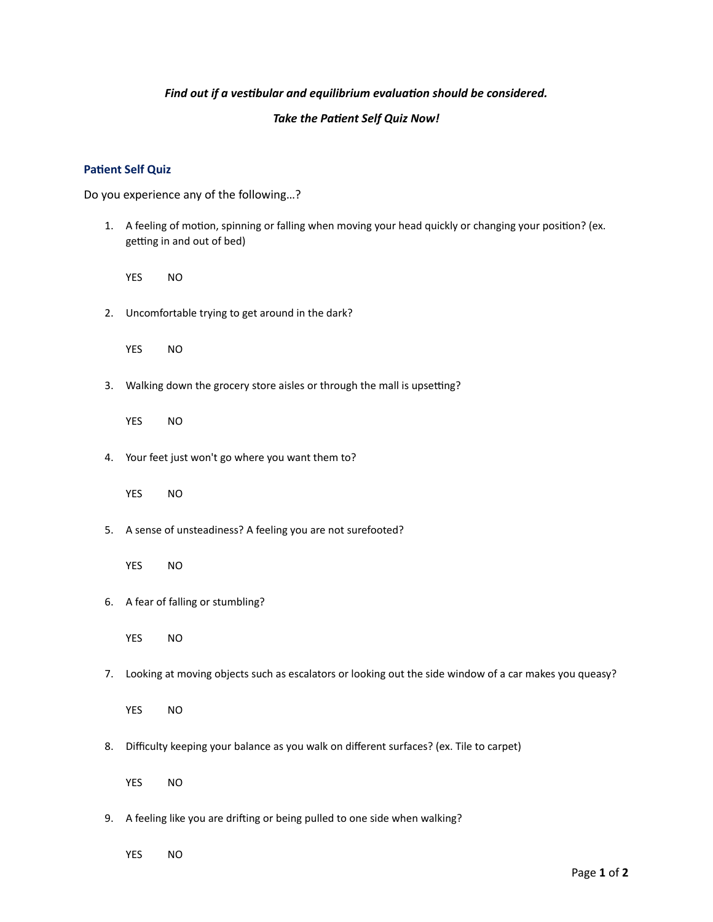## Find out if a vestibular and equilibrium evaluation should be considered.

## **Take the Patient Self Quiz Now!**

## **Patient Self Quiz**

Do you experience any of the following…?

- 1. A feeling of motion, spinning or falling when moving your head quickly or changing your position? (ex. getting in and out of bed)
	- YES NO
- 2. Uncomfortable trying to get around in the dark?

YES NO

3. Walking down the grocery store aisles or through the mall is upsetting?

YES NO

4. Your feet just won't go where you want them to?

YES NO

5. A sense of unsteadiness? A feeling you are not surefooted?

YES NO

6. A fear of falling or stumbling?

YES NO

7. Looking at moving objects such as escalators or looking out the side window of a car makes you queasy?

YES NO

8. Difficulty keeping your balance as you walk on different surfaces? (ex. Tile to carpet)

YES NO

9. A feeling like you are drifting or being pulled to one side when walking?

YES NO